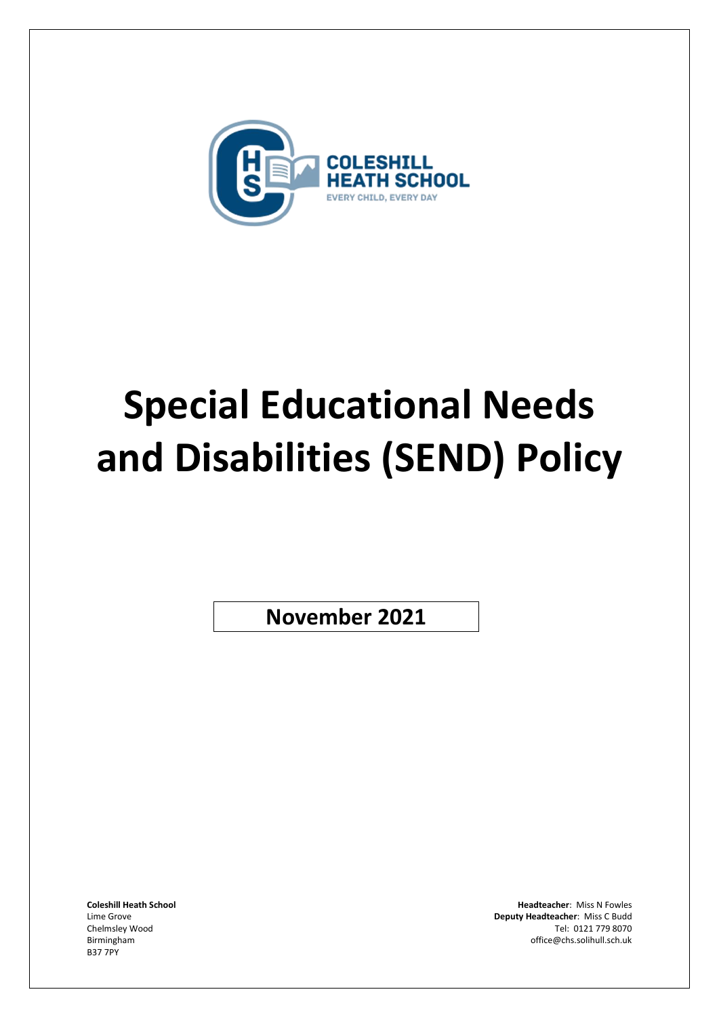

# **Special Educational Needs and Disabilities (SEND) Policy**

**November 2021**

B37 7PY

**Coleshill Heath School Headteacher**: Miss N Fowles Lime Grove **Deputy Headteacher**: Miss C Budd Chelmsley Wood Tel: 0121 779 8070 Birmingham office@chs.solihull.sch.uk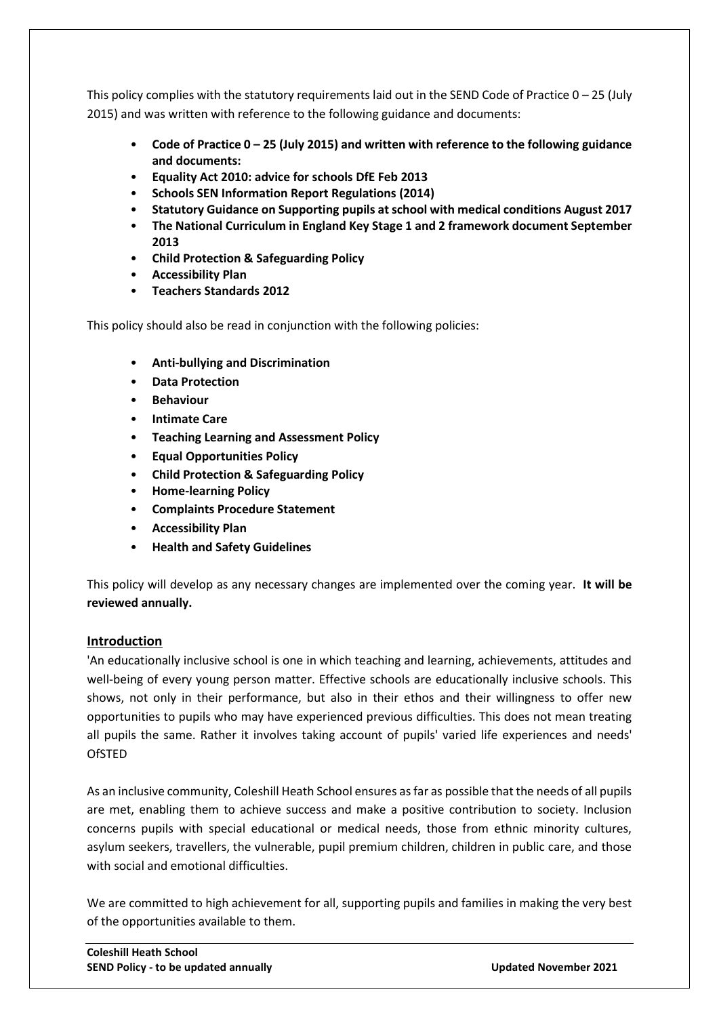This policy complies with the statutory requirements laid out in the SEND Code of Practice  $0 - 25$  (July 2015) and was written with reference to the following guidance and documents:

- **Code of Practice 0 – 25 (July 2015) and written with reference to the following guidance and documents:**
- **Equality Act 2010: advice for schools DfE Feb 2013**
- **Schools SEN Information Report Regulations (2014)**
- **Statutory Guidance on Supporting pupils at school with medical conditions August 2017**
- **The National Curriculum in England Key Stage 1 and 2 framework document September 2013**
- **Child Protection & Safeguarding Policy**
- **Accessibility Plan**
- **Teachers Standards 2012**

This policy should also be read in conjunction with the following policies:

- **Anti-bullying and Discrimination**
- **Data Protection**
- **Behaviour**
- **Intimate Care**
- **Teaching Learning and Assessment Policy**
- **Equal Opportunities Policy**
- **Child Protection & Safeguarding Policy**
- **Home-learning Policy**
- **Complaints Procedure Statement**
- **Accessibility Plan**
- **Health and Safety Guidelines**

This policy will develop as any necessary changes are implemented over the coming year. **It will be reviewed annually.**

#### **Introduction**

'An educationally inclusive school is one in which teaching and learning, achievements, attitudes and well-being of every young person matter. Effective schools are educationally inclusive schools. This shows, not only in their performance, but also in their ethos and their willingness to offer new opportunities to pupils who may have experienced previous difficulties. This does not mean treating all pupils the same. Rather it involves taking account of pupils' varied life experiences and needs' **OfSTED** 

As an inclusive community, Coleshill Heath School ensures as far as possible that the needs of all pupils are met, enabling them to achieve success and make a positive contribution to society. Inclusion concerns pupils with special educational or medical needs, those from ethnic minority cultures, asylum seekers, travellers, the vulnerable, pupil premium children, children in public care, and those with social and emotional difficulties.

We are committed to high achievement for all, supporting pupils and families in making the very best of the opportunities available to them.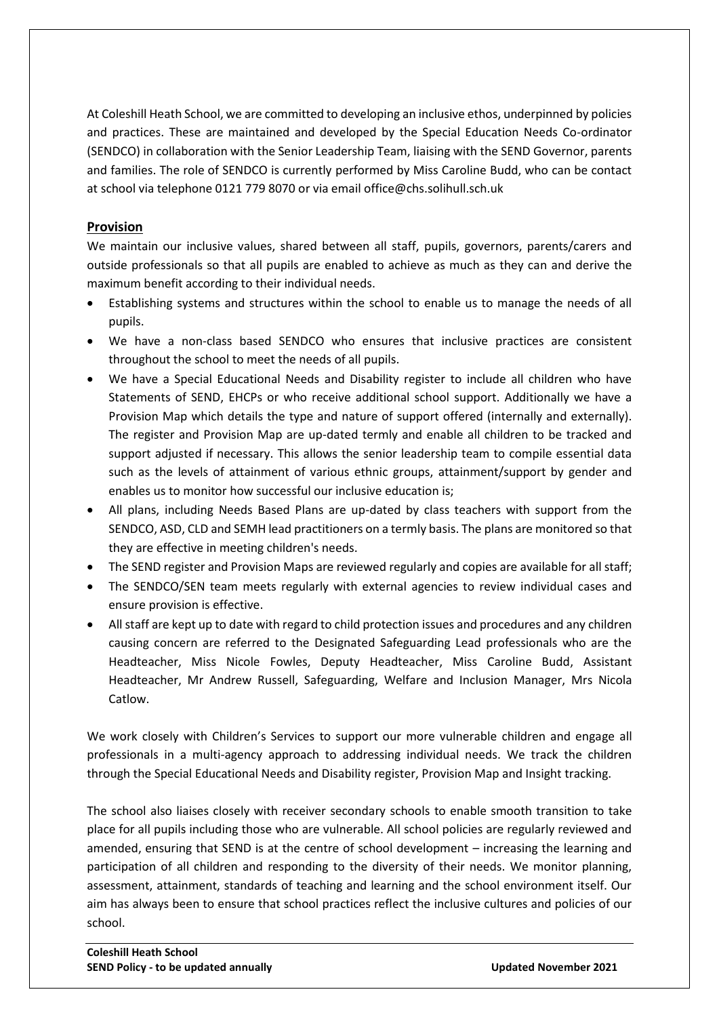At Coleshill Heath School, we are committed to developing an inclusive ethos, underpinned by policies and practices. These are maintained and developed by the Special Education Needs Co-ordinator (SENDCO) in collaboration with the Senior Leadership Team, liaising with the SEND Governor, parents and families. The role of SENDCO is currently performed by Miss Caroline Budd, who can be contact at school via telephone 0121 779 8070 or via email office@chs.solihull.sch.uk

#### **Provision**

We maintain our inclusive values, shared between all staff, pupils, governors, parents/carers and outside professionals so that all pupils are enabled to achieve as much as they can and derive the maximum benefit according to their individual needs.

- Establishing systems and structures within the school to enable us to manage the needs of all pupils.
- We have a non-class based SENDCO who ensures that inclusive practices are consistent throughout the school to meet the needs of all pupils.
- We have a Special Educational Needs and Disability register to include all children who have Statements of SEND, EHCPs or who receive additional school support. Additionally we have a Provision Map which details the type and nature of support offered (internally and externally). The register and Provision Map are up-dated termly and enable all children to be tracked and support adjusted if necessary. This allows the senior leadership team to compile essential data such as the levels of attainment of various ethnic groups, attainment/support by gender and enables us to monitor how successful our inclusive education is;
- All plans, including Needs Based Plans are up-dated by class teachers with support from the SENDCO, ASD, CLD and SEMH lead practitioners on a termly basis. The plans are monitored so that they are effective in meeting children's needs.
- The SEND register and Provision Maps are reviewed regularly and copies are available for all staff;
- The SENDCO/SEN team meets regularly with external agencies to review individual cases and ensure provision is effective.
- All staff are kept up to date with regard to child protection issues and procedures and any children causing concern are referred to the Designated Safeguarding Lead professionals who are the Headteacher, Miss Nicole Fowles, Deputy Headteacher, Miss Caroline Budd, Assistant Headteacher, Mr Andrew Russell, Safeguarding, Welfare and Inclusion Manager, Mrs Nicola Catlow.

We work closely with Children's Services to support our more vulnerable children and engage all professionals in a multi-agency approach to addressing individual needs. We track the children through the Special Educational Needs and Disability register, Provision Map and Insight tracking.

The school also liaises closely with receiver secondary schools to enable smooth transition to take place for all pupils including those who are vulnerable. All school policies are regularly reviewed and amended, ensuring that SEND is at the centre of school development – increasing the learning and participation of all children and responding to the diversity of their needs. We monitor planning, assessment, attainment, standards of teaching and learning and the school environment itself. Our aim has always been to ensure that school practices reflect the inclusive cultures and policies of our school.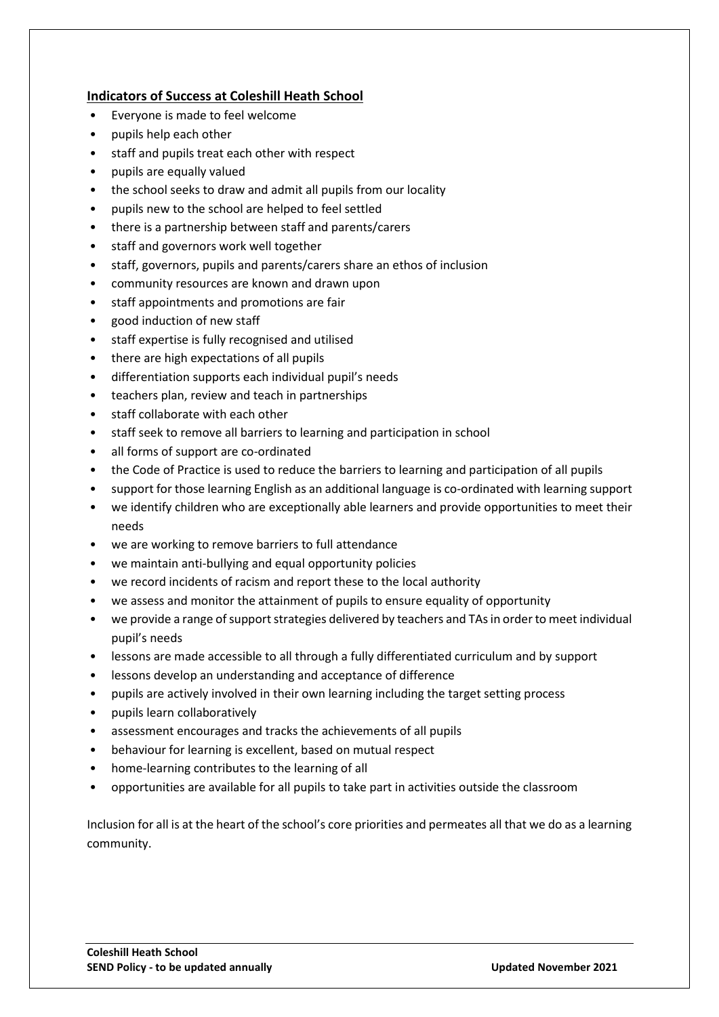#### **Indicators of Success at Coleshill Heath School**

- Everyone is made to feel welcome
- pupils help each other
- staff and pupils treat each other with respect
- pupils are equally valued
- the school seeks to draw and admit all pupils from our locality
- pupils new to the school are helped to feel settled
- there is a partnership between staff and parents/carers
- staff and governors work well together
- staff, governors, pupils and parents/carers share an ethos of inclusion
- community resources are known and drawn upon
- staff appointments and promotions are fair
- good induction of new staff
- staff expertise is fully recognised and utilised
- there are high expectations of all pupils
- differentiation supports each individual pupil's needs
- teachers plan, review and teach in partnerships
- staff collaborate with each other
- staff seek to remove all barriers to learning and participation in school
- all forms of support are co-ordinated
- the Code of Practice is used to reduce the barriers to learning and participation of all pupils
- support for those learning English as an additional language is co-ordinated with learning support
- we identify children who are exceptionally able learners and provide opportunities to meet their needs
- we are working to remove barriers to full attendance
- we maintain anti-bullying and equal opportunity policies
- we record incidents of racism and report these to the local authority
- we assess and monitor the attainment of pupils to ensure equality of opportunity
- we provide a range of support strategies delivered by teachers and TAs in order to meet individual pupil's needs
- lessons are made accessible to all through a fully differentiated curriculum and by support
- lessons develop an understanding and acceptance of difference
- pupils are actively involved in their own learning including the target setting process
- pupils learn collaboratively
- assessment encourages and tracks the achievements of all pupils
- behaviour for learning is excellent, based on mutual respect
- home-learning contributes to the learning of all
- opportunities are available for all pupils to take part in activities outside the classroom

Inclusion for all is at the heart of the school's core priorities and permeates all that we do as a learning community.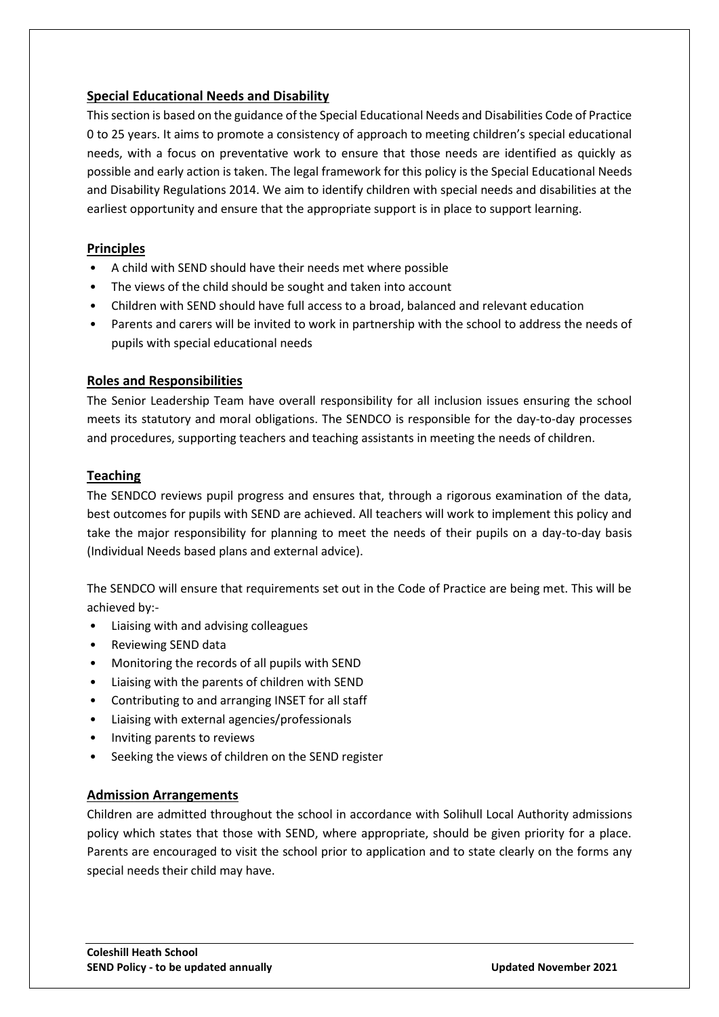#### **Special Educational Needs and Disability**

This section is based on the guidance of the Special Educational Needs and Disabilities Code of Practice 0 to 25 years. It aims to promote a consistency of approach to meeting children's special educational needs, with a focus on preventative work to ensure that those needs are identified as quickly as possible and early action is taken. The legal framework for this policy is the Special Educational Needs and Disability Regulations 2014. We aim to identify children with special needs and disabilities at the earliest opportunity and ensure that the appropriate support is in place to support learning.

#### **Principles**

- A child with SEND should have their needs met where possible
- The views of the child should be sought and taken into account
- Children with SEND should have full access to a broad, balanced and relevant education
- Parents and carers will be invited to work in partnership with the school to address the needs of pupils with special educational needs

#### **Roles and Responsibilities**

The Senior Leadership Team have overall responsibility for all inclusion issues ensuring the school meets its statutory and moral obligations. The SENDCO is responsible for the day-to-day processes and procedures, supporting teachers and teaching assistants in meeting the needs of children.

#### **Teaching**

The SENDCO reviews pupil progress and ensures that, through a rigorous examination of the data, best outcomes for pupils with SEND are achieved. All teachers will work to implement this policy and take the major responsibility for planning to meet the needs of their pupils on a day-to-day basis (Individual Needs based plans and external advice).

The SENDCO will ensure that requirements set out in the Code of Practice are being met. This will be achieved by:-

- Liaising with and advising colleagues
- Reviewing SEND data
- Monitoring the records of all pupils with SEND
- Liaising with the parents of children with SEND
- Contributing to and arranging INSET for all staff
- Liaising with external agencies/professionals
- Inviting parents to reviews
- Seeking the views of children on the SEND register

#### **Admission Arrangements**

Children are admitted throughout the school in accordance with Solihull Local Authority admissions policy which states that those with SEND, where appropriate, should be given priority for a place. Parents are encouraged to visit the school prior to application and to state clearly on the forms any special needs their child may have.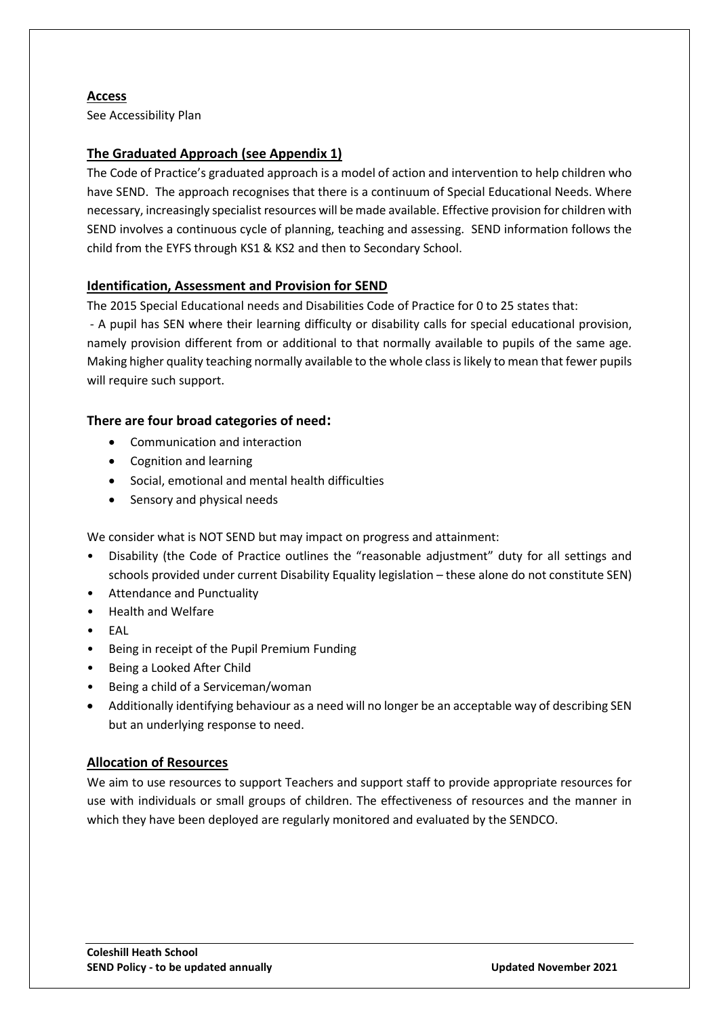#### **Access**

See Accessibility Plan

#### **The Graduated Approach (see Appendix 1)**

The Code of Practice's graduated approach is a model of action and intervention to help children who have SEND. The approach recognises that there is a continuum of Special Educational Needs. Where necessary, increasingly specialist resources will be made available. Effective provision for children with SEND involves a continuous cycle of planning, teaching and assessing. SEND information follows the child from the EYFS through KS1 & KS2 and then to Secondary School.

#### **Identification, Assessment and Provision for SEND**

The 2015 Special Educational needs and Disabilities Code of Practice for 0 to 25 states that:

- A pupil has SEN where their learning difficulty or disability calls for special educational provision, namely provision different from or additional to that normally available to pupils of the same age. Making higher quality teaching normally available to the whole class is likely to mean that fewer pupils will require such support.

#### **There are four broad categories of need:**

- Communication and interaction
- Cognition and learning
- Social, emotional and mental health difficulties
- Sensory and physical needs

We consider what is NOT SEND but may impact on progress and attainment:

- Disability (the Code of Practice outlines the "reasonable adjustment" duty for all settings and schools provided under current Disability Equality legislation – these alone do not constitute SEN)
- Attendance and Punctuality
- Health and Welfare
- EAL
- Being in receipt of the Pupil Premium Funding
- Being a Looked After Child
- Being a child of a Serviceman/woman
- Additionally identifying behaviour as a need will no longer be an acceptable way of describing SEN but an underlying response to need.

#### **Allocation of Resources**

We aim to use resources to support Teachers and support staff to provide appropriate resources for use with individuals or small groups of children. The effectiveness of resources and the manner in which they have been deployed are regularly monitored and evaluated by the SENDCO.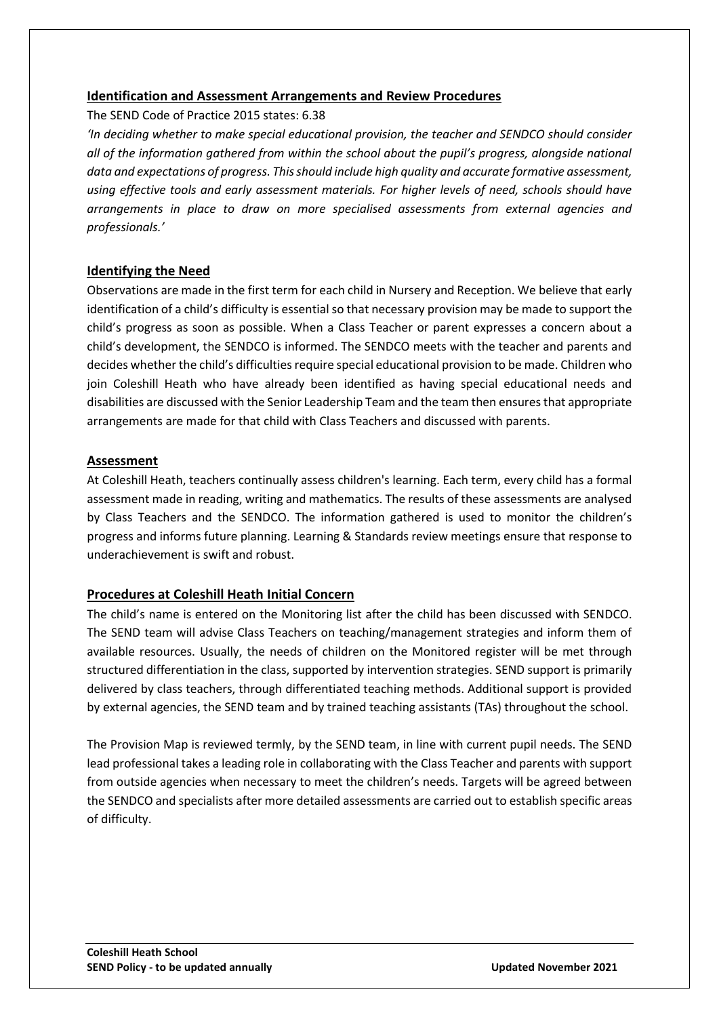#### **Identification and Assessment Arrangements and Review Procedures**

The SEND Code of Practice 2015 states: 6.38

*'In deciding whether to make special educational provision, the teacher and SENDCO should consider all of the information gathered from within the school about the pupil's progress, alongside national data and expectations of progress. This should include high quality and accurate formative assessment, using effective tools and early assessment materials. For higher levels of need, schools should have arrangements in place to draw on more specialised assessments from external agencies and professionals.'*

#### **Identifying the Need**

Observations are made in the first term for each child in Nursery and Reception. We believe that early identification of a child's difficulty is essential so that necessary provision may be made to support the child's progress as soon as possible. When a Class Teacher or parent expresses a concern about a child's development, the SENDCO is informed. The SENDCO meets with the teacher and parents and decides whether the child's difficulties require special educational provision to be made. Children who join Coleshill Heath who have already been identified as having special educational needs and disabilities are discussed with the Senior Leadership Team and the team then ensures that appropriate arrangements are made for that child with Class Teachers and discussed with parents.

#### **Assessment**

At Coleshill Heath, teachers continually assess children's learning. Each term, every child has a formal assessment made in reading, writing and mathematics. The results of these assessments are analysed by Class Teachers and the SENDCO. The information gathered is used to monitor the children's progress and informs future planning. Learning & Standards review meetings ensure that response to underachievement is swift and robust.

#### **Procedures at Coleshill Heath Initial Concern**

The child's name is entered on the Monitoring list after the child has been discussed with SENDCO. The SEND team will advise Class Teachers on teaching/management strategies and inform them of available resources. Usually, the needs of children on the Monitored register will be met through structured differentiation in the class, supported by intervention strategies. SEND support is primarily delivered by class teachers, through differentiated teaching methods. Additional support is provided by external agencies, the SEND team and by trained teaching assistants (TAs) throughout the school.

The Provision Map is reviewed termly, by the SEND team, in line with current pupil needs. The SEND lead professional takes a leading role in collaborating with the Class Teacher and parents with support from outside agencies when necessary to meet the children's needs. Targets will be agreed between the SENDCO and specialists after more detailed assessments are carried out to establish specific areas of difficulty.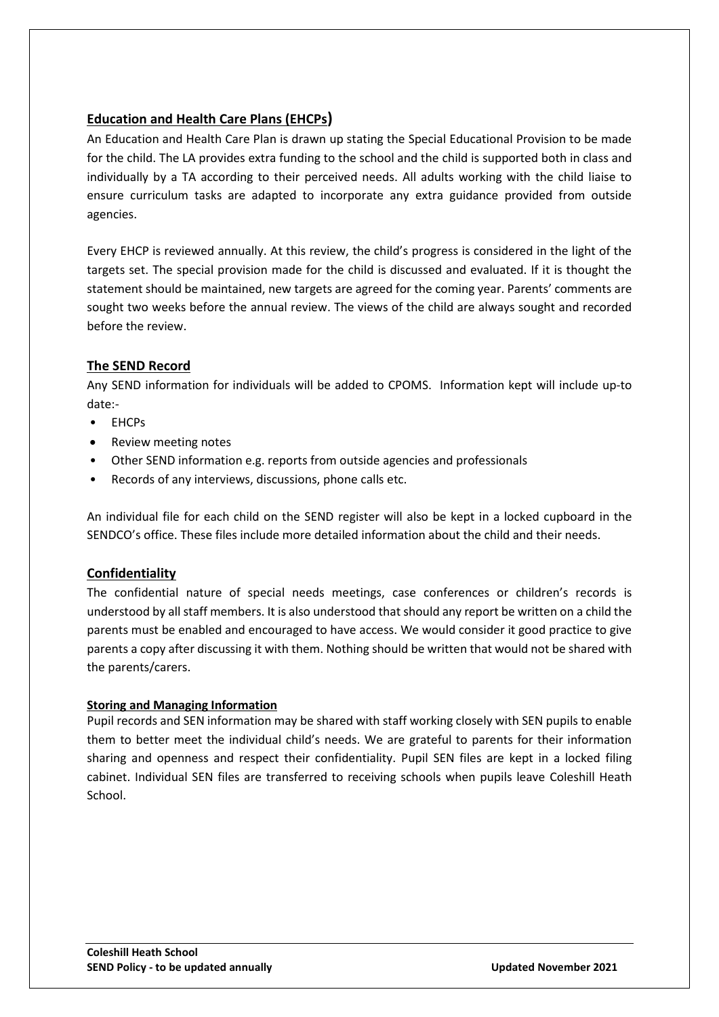#### **Education and Health Care Plans (EHCPs)**

An Education and Health Care Plan is drawn up stating the Special Educational Provision to be made for the child. The LA provides extra funding to the school and the child is supported both in class and individually by a TA according to their perceived needs. All adults working with the child liaise to ensure curriculum tasks are adapted to incorporate any extra guidance provided from outside agencies.

Every EHCP is reviewed annually. At this review, the child's progress is considered in the light of the targets set. The special provision made for the child is discussed and evaluated. If it is thought the statement should be maintained, new targets are agreed for the coming year. Parents' comments are sought two weeks before the annual review. The views of the child are always sought and recorded before the review.

#### **The SEND Record**

Any SEND information for individuals will be added to CPOMS. Information kept will include up-to date:-

- EHCPs
- Review meeting notes
- Other SEND information e.g. reports from outside agencies and professionals
- Records of any interviews, discussions, phone calls etc.

An individual file for each child on the SEND register will also be kept in a locked cupboard in the SENDCO's office. These files include more detailed information about the child and their needs.

#### **Confidentiality**

The confidential nature of special needs meetings, case conferences or children's records is understood by all staff members. It is also understood that should any report be written on a child the parents must be enabled and encouraged to have access. We would consider it good practice to give parents a copy after discussing it with them. Nothing should be written that would not be shared with the parents/carers.

#### **Storing and Managing Information**

Pupil records and SEN information may be shared with staff working closely with SEN pupils to enable them to better meet the individual child's needs. We are grateful to parents for their information sharing and openness and respect their confidentiality. Pupil SEN files are kept in a locked filing cabinet. Individual SEN files are transferred to receiving schools when pupils leave Coleshill Heath School.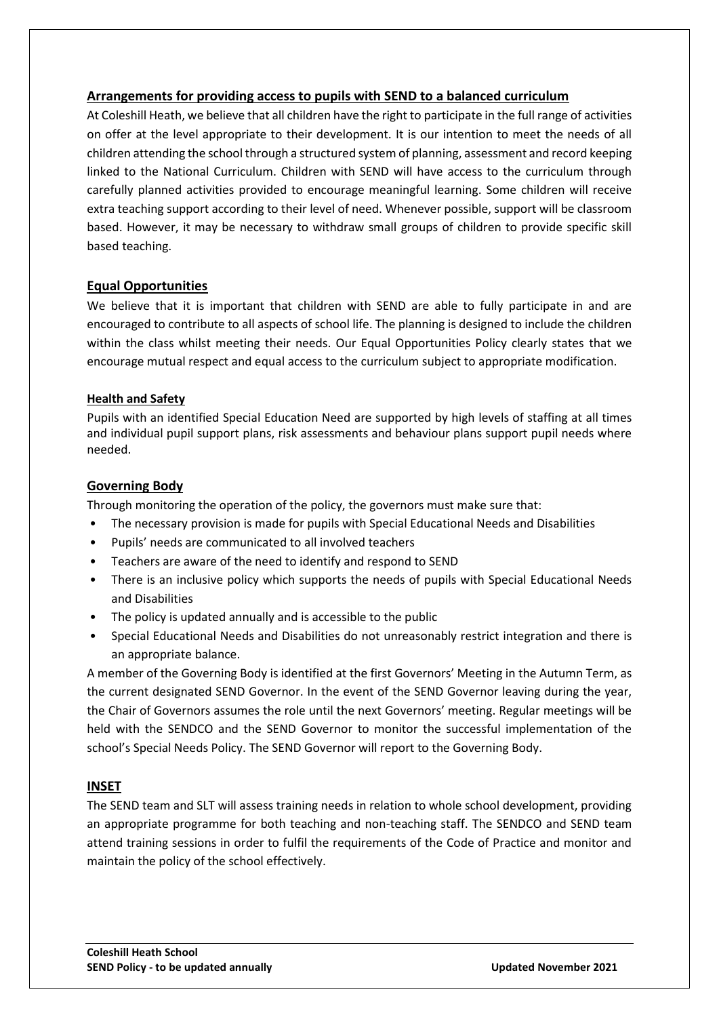#### **Arrangements for providing access to pupils with SEND to a balanced curriculum**

At Coleshill Heath, we believe that all children have the right to participate in the full range of activities on offer at the level appropriate to their development. It is our intention to meet the needs of all children attending the school through a structured system of planning, assessment and record keeping linked to the National Curriculum. Children with SEND will have access to the curriculum through carefully planned activities provided to encourage meaningful learning. Some children will receive extra teaching support according to their level of need. Whenever possible, support will be classroom based. However, it may be necessary to withdraw small groups of children to provide specific skill based teaching.

#### **Equal Opportunities**

We believe that it is important that children with SEND are able to fully participate in and are encouraged to contribute to all aspects of school life. The planning is designed to include the children within the class whilst meeting their needs. Our Equal Opportunities Policy clearly states that we encourage mutual respect and equal access to the curriculum subject to appropriate modification.

#### **Health and Safety**

Pupils with an identified Special Education Need are supported by high levels of staffing at all times and individual pupil support plans, risk assessments and behaviour plans support pupil needs where needed.

#### **Governing Body**

Through monitoring the operation of the policy, the governors must make sure that:

- The necessary provision is made for pupils with Special Educational Needs and Disabilities
- Pupils' needs are communicated to all involved teachers
- Teachers are aware of the need to identify and respond to SEND
- There is an inclusive policy which supports the needs of pupils with Special Educational Needs and Disabilities
- The policy is updated annually and is accessible to the public
- Special Educational Needs and Disabilities do not unreasonably restrict integration and there is an appropriate balance.

A member of the Governing Body is identified at the first Governors' Meeting in the Autumn Term, as the current designated SEND Governor. In the event of the SEND Governor leaving during the year, the Chair of Governors assumes the role until the next Governors' meeting. Regular meetings will be held with the SENDCO and the SEND Governor to monitor the successful implementation of the school's Special Needs Policy. The SEND Governor will report to the Governing Body.

#### **INSET**

The SEND team and SLT will assess training needs in relation to whole school development, providing an appropriate programme for both teaching and non-teaching staff. The SENDCO and SEND team attend training sessions in order to fulfil the requirements of the Code of Practice and monitor and maintain the policy of the school effectively.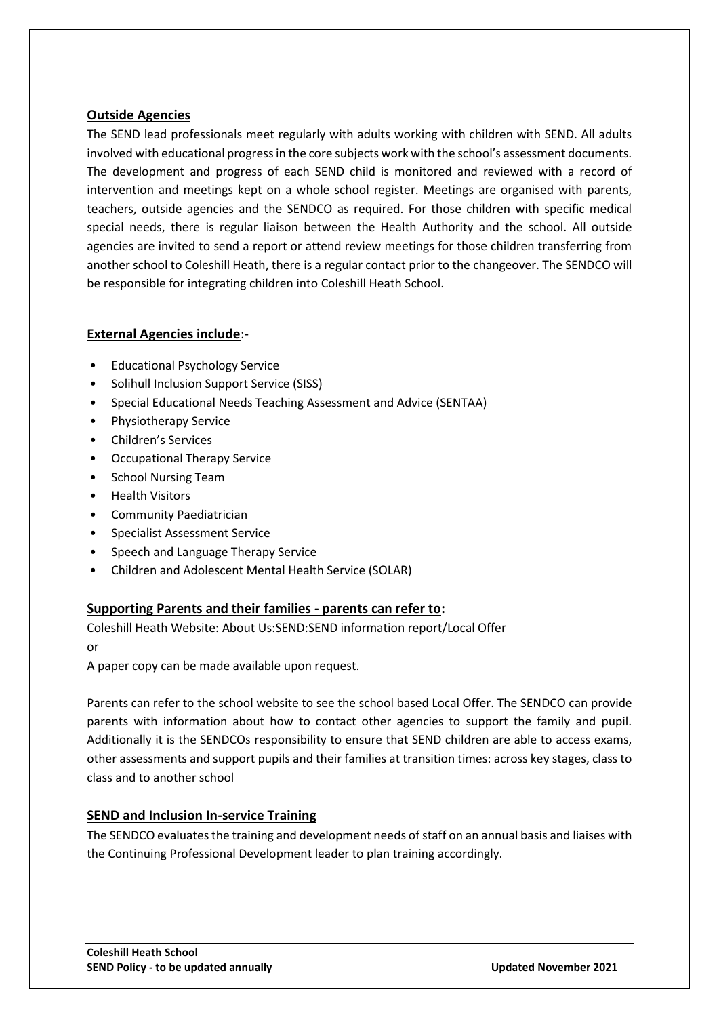#### **Outside Agencies**

The SEND lead professionals meet regularly with adults working with children with SEND. All adults involved with educational progress in the core subjects work with the school's assessment documents. The development and progress of each SEND child is monitored and reviewed with a record of intervention and meetings kept on a whole school register. Meetings are organised with parents, teachers, outside agencies and the SENDCO as required. For those children with specific medical special needs, there is regular liaison between the Health Authority and the school. All outside agencies are invited to send a report or attend review meetings for those children transferring from another school to Coleshill Heath, there is a regular contact prior to the changeover. The SENDCO will be responsible for integrating children into Coleshill Heath School.

#### **External Agencies include**:-

- Educational Psychology Service
- Solihull Inclusion Support Service (SISS)
- Special Educational Needs Teaching Assessment and Advice (SENTAA)
- Physiotherapy Service
- Children's Services
- Occupational Therapy Service
- School Nursing Team
- Health Visitors
- Community Paediatrician
- Specialist Assessment Service
- Speech and Language Therapy Service
- Children and Adolescent Mental Health Service (SOLAR)

#### **Supporting Parents and their families - parents can refer to:**

Coleshill Heath Website: About Us:SEND:SEND information report/Local Offer

or

A paper copy can be made available upon request.

Parents can refer to the school website to see the school based Local Offer. The SENDCO can provide parents with information about how to contact other agencies to support the family and pupil. Additionally it is the SENDCOs responsibility to ensure that SEND children are able to access exams, other assessments and support pupils and their families at transition times: across key stages, class to class and to another school

#### **SEND and Inclusion In-service Training**

The SENDCO evaluates the training and development needs of staff on an annual basis and liaises with the Continuing Professional Development leader to plan training accordingly.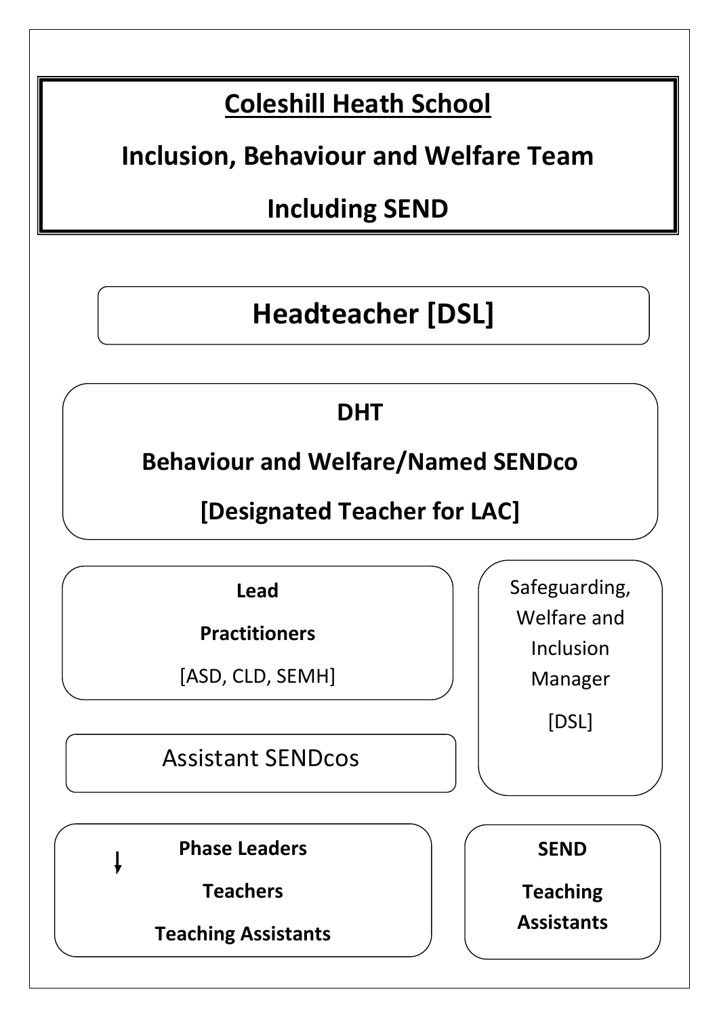### **Coleshill Heath School**

### **Inclusion, Behaviour and Welfare Team**

### **Including SEND**

## **Headteacher [DSL]**

### **DHT**

**Behaviour and Welfare/Named SENDco**

**[Designated Teacher for LAC]**

**Lead** 

**Practitioners**

[ASD, CLD, SEMH]

Assistant SENDcos

Safeguarding, Welfare and Inclusion Manager [DSL]

**Phase Leaders** 

**Teachers**

**Teaching Assistants** 



**Teaching Assistants**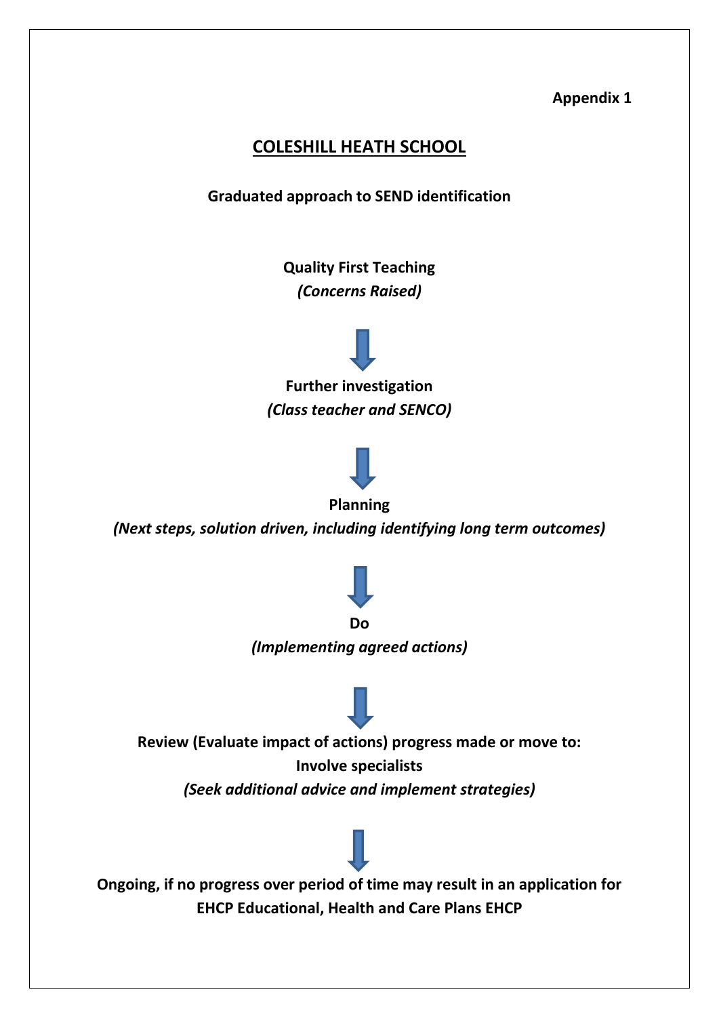#### **Appendix 1**

### **COLESHILL HEATH SCHOOL**

**Graduated approach to SEND identification**

**Quality First Teaching**  *(Concerns Raised)*



**Further investigation**  *(Class teacher and SENCO)*



**Planning**

*(Next steps, solution driven, including identifying long term outcomes)*



**Do** 

*(Implementing agreed actions)*

**Review (Evaluate impact of actions) progress made or move to: Involve specialists** *(Seek additional advice and implement strategies)*

**Ongoing, if no progress over period of time may result in an application for EHCP Educational, Health and Care Plans EHCP**